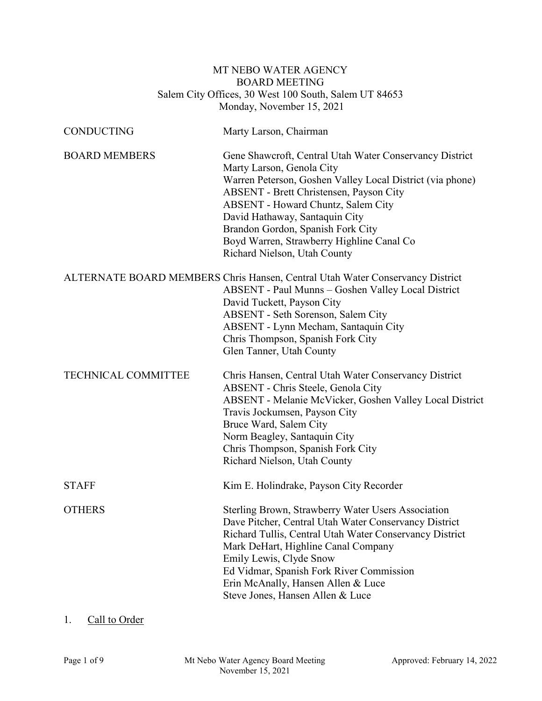# MT NEBO WATER AGENCY BOARD MEETING Salem City Offices, 30 West 100 South, Salem UT 84653 Monday, November 15, 2021

| <b>CONDUCTING</b>          | Marty Larson, Chairman                                                                                                                                                                                                                                                                                                                                                                        |
|----------------------------|-----------------------------------------------------------------------------------------------------------------------------------------------------------------------------------------------------------------------------------------------------------------------------------------------------------------------------------------------------------------------------------------------|
| <b>BOARD MEMBERS</b>       | Gene Shawcroft, Central Utah Water Conservancy District<br>Marty Larson, Genola City<br>Warren Peterson, Goshen Valley Local District (via phone)<br>ABSENT - Brett Christensen, Payson City<br><b>ABSENT</b> - Howard Chuntz, Salem City<br>David Hathaway, Santaquin City<br>Brandon Gordon, Spanish Fork City<br>Boyd Warren, Strawberry Highline Canal Co<br>Richard Nielson, Utah County |
|                            | ALTERNATE BOARD MEMBERS Chris Hansen, Central Utah Water Conservancy District<br>ABSENT - Paul Munns - Goshen Valley Local District<br>David Tuckett, Payson City<br>ABSENT - Seth Sorenson, Salem City<br>ABSENT - Lynn Mecham, Santaquin City<br>Chris Thompson, Spanish Fork City<br>Glen Tanner, Utah County                                                                              |
| <b>TECHNICAL COMMITTEE</b> | Chris Hansen, Central Utah Water Conservancy District<br>ABSENT - Chris Steele, Genola City<br>ABSENT - Melanie McVicker, Goshen Valley Local District<br>Travis Jockumsen, Payson City<br>Bruce Ward, Salem City<br>Norm Beagley, Santaquin City<br>Chris Thompson, Spanish Fork City<br>Richard Nielson, Utah County                                                                        |
| <b>STAFF</b>               | Kim E. Holindrake, Payson City Recorder                                                                                                                                                                                                                                                                                                                                                       |
| <b>OTHERS</b>              | Sterling Brown, Strawberry Water Users Association<br>Dave Pitcher, Central Utah Water Conservancy District<br>Richard Tullis, Central Utah Water Conservancy District<br>Mark DeHart, Highline Canal Company<br>Emily Lewis, Clyde Snow<br>Ed Vidmar, Spanish Fork River Commission<br>Erin McAnally, Hansen Allen & Luce<br>Steve Jones, Hansen Allen & Luce                                |

# 1. Call to Order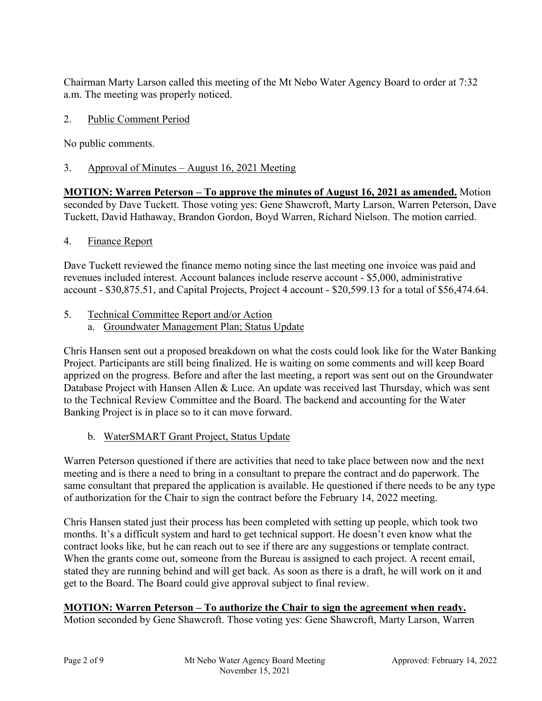Chairman Marty Larson called this meeting of the Mt Nebo Water Agency Board to order at 7:32 a.m. The meeting was properly noticed.

# 2. Public Comment Period

No public comments.

# 3. Approval of Minutes – August 16, 2021 Meeting

**MOTION: Warren Peterson – To approve the minutes of August 16, 2021 as amended.** Motion seconded by Dave Tuckett. Those voting yes: Gene Shawcroft, Marty Larson, Warren Peterson, Dave Tuckett, David Hathaway, Brandon Gordon, Boyd Warren, Richard Nielson. The motion carried.

# 4. Finance Report

Dave Tuckett reviewed the finance memo noting since the last meeting one invoice was paid and revenues included interest. Account balances include reserve account - \$5,000, administrative account - \$30,875.51, and Capital Projects, Project 4 account - \$20,599.13 for a total of \$56,474.64.

- 5. Technical Committee Report and/or Action
	- a. Groundwater Management Plan; Status Update

Chris Hansen sent out a proposed breakdown on what the costs could look like for the Water Banking Project. Participants are still being finalized. He is waiting on some comments and will keep Board apprized on the progress. Before and after the last meeting, a report was sent out on the Groundwater Database Project with Hansen Allen & Luce. An update was received last Thursday, which was sent to the Technical Review Committee and the Board. The backend and accounting for the Water Banking Project is in place so to it can move forward.

b. WaterSMART Grant Project, Status Update

Warren Peterson questioned if there are activities that need to take place between now and the next meeting and is there a need to bring in a consultant to prepare the contract and do paperwork. The same consultant that prepared the application is available. He questioned if there needs to be any type of authorization for the Chair to sign the contract before the February 14, 2022 meeting.

Chris Hansen stated just their process has been completed with setting up people, which took two months. It's a difficult system and hard to get technical support. He doesn't even know what the contract looks like, but he can reach out to see if there are any suggestions or template contract. When the grants come out, someone from the Bureau is assigned to each project. A recent email, stated they are running behind and will get back. As soon as there is a draft, he will work on it and get to the Board. The Board could give approval subject to final review.

# **MOTION: Warren Peterson – To authorize the Chair to sign the agreement when ready.**

Motion seconded by Gene Shawcroft. Those voting yes: Gene Shawcroft, Marty Larson, Warren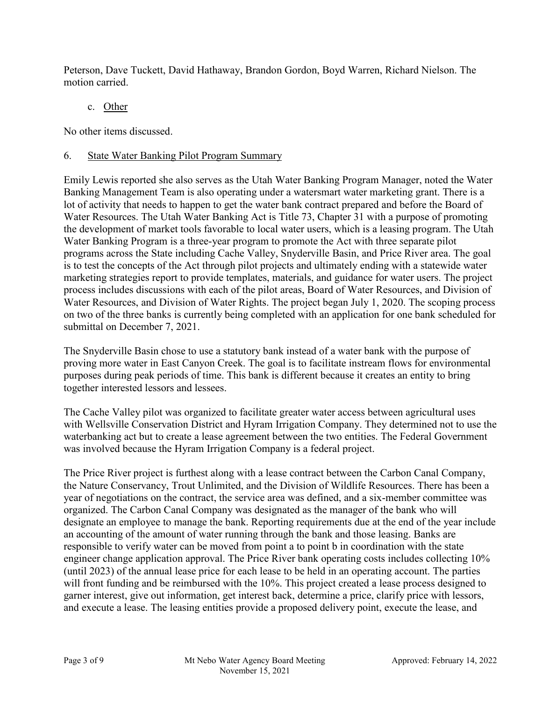Peterson, Dave Tuckett, David Hathaway, Brandon Gordon, Boyd Warren, Richard Nielson. The motion carried.

c. Other

No other items discussed.

# 6. State Water Banking Pilot Program Summary

Emily Lewis reported she also serves as the Utah Water Banking Program Manager, noted the Water Banking Management Team is also operating under a watersmart water marketing grant. There is a lot of activity that needs to happen to get the water bank contract prepared and before the Board of Water Resources. The Utah Water Banking Act is Title 73, Chapter 31 with a purpose of promoting the development of market tools favorable to local water users, which is a leasing program. The Utah Water Banking Program is a three-year program to promote the Act with three separate pilot programs across the State including Cache Valley, Snyderville Basin, and Price River area. The goal is to test the concepts of the Act through pilot projects and ultimately ending with a statewide water marketing strategies report to provide templates, materials, and guidance for water users. The project process includes discussions with each of the pilot areas, Board of Water Resources, and Division of Water Resources, and Division of Water Rights. The project began July 1, 2020. The scoping process on two of the three banks is currently being completed with an application for one bank scheduled for submittal on December 7, 2021.

The Snyderville Basin chose to use a statutory bank instead of a water bank with the purpose of proving more water in East Canyon Creek. The goal is to facilitate instream flows for environmental purposes during peak periods of time. This bank is different because it creates an entity to bring together interested lessors and lessees.

The Cache Valley pilot was organized to facilitate greater water access between agricultural uses with Wellsville Conservation District and Hyram Irrigation Company. They determined not to use the waterbanking act but to create a lease agreement between the two entities. The Federal Government was involved because the Hyram Irrigation Company is a federal project.

The Price River project is furthest along with a lease contract between the Carbon Canal Company, the Nature Conservancy, Trout Unlimited, and the Division of Wildlife Resources. There has been a year of negotiations on the contract, the service area was defined, and a six-member committee was organized. The Carbon Canal Company was designated as the manager of the bank who will designate an employee to manage the bank. Reporting requirements due at the end of the year include an accounting of the amount of water running through the bank and those leasing. Banks are responsible to verify water can be moved from point a to point b in coordination with the state engineer change application approval. The Price River bank operating costs includes collecting 10% (until 2023) of the annual lease price for each lease to be held in an operating account. The parties will front funding and be reimbursed with the 10%. This project created a lease process designed to garner interest, give out information, get interest back, determine a price, clarify price with lessors, and execute a lease. The leasing entities provide a proposed delivery point, execute the lease, and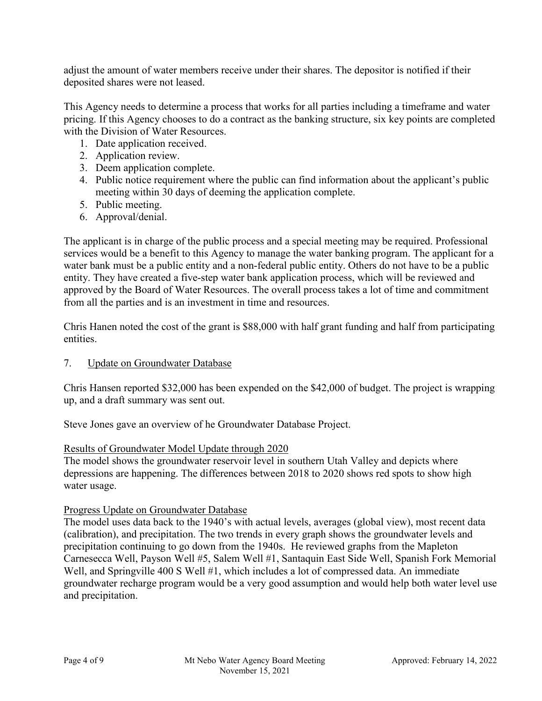adjust the amount of water members receive under their shares. The depositor is notified if their deposited shares were not leased.

This Agency needs to determine a process that works for all parties including a timeframe and water pricing. If this Agency chooses to do a contract as the banking structure, six key points are completed with the Division of Water Resources.

- 1. Date application received.
- 2. Application review.
- 3. Deem application complete.
- 4. Public notice requirement where the public can find information about the applicant's public meeting within 30 days of deeming the application complete.
- 5. Public meeting.
- 6. Approval/denial.

The applicant is in charge of the public process and a special meeting may be required. Professional services would be a benefit to this Agency to manage the water banking program. The applicant for a water bank must be a public entity and a non-federal public entity. Others do not have to be a public entity. They have created a five-step water bank application process, which will be reviewed and approved by the Board of Water Resources. The overall process takes a lot of time and commitment from all the parties and is an investment in time and resources.

Chris Hanen noted the cost of the grant is \$88,000 with half grant funding and half from participating entities.

7. Update on Groundwater Database

Chris Hansen reported \$32,000 has been expended on the \$42,000 of budget. The project is wrapping up, and a draft summary was sent out.

Steve Jones gave an overview of he Groundwater Database Project.

#### Results of Groundwater Model Update through 2020

The model shows the groundwater reservoir level in southern Utah Valley and depicts where depressions are happening. The differences between 2018 to 2020 shows red spots to show high water usage.

#### Progress Update on Groundwater Database

The model uses data back to the 1940's with actual levels, averages (global view), most recent data (calibration), and precipitation. The two trends in every graph shows the groundwater levels and precipitation continuing to go down from the 1940s. He reviewed graphs from the Mapleton Carnesecca Well, Payson Well #5, Salem Well #1, Santaquin East Side Well, Spanish Fork Memorial Well, and Springville 400 S Well #1, which includes a lot of compressed data. An immediate groundwater recharge program would be a very good assumption and would help both water level use and precipitation.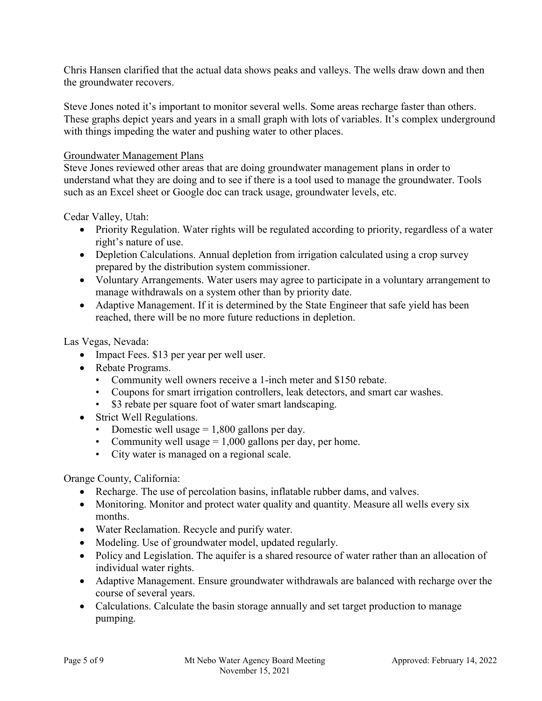Chris Hansen clarified that the actual data shows peaks and valleys. The wells draw down and then the groundwater recovers.

Steve Jones noted it's important to monitor several wells. Some areas recharge faster than others. These graphs depict years and years in a small graph with lots of variables. It's complex underground with things impeding the water and pushing water to other places.

#### Groundwater Management Plans

Steve Jones reviewed other areas that are doing groundwater management plans in order to understand what they are doing and to see if there is a tool used to manage the groundwater. Tools such as an Excel sheet or Google doc can track usage, groundwater levels, etc.

Cedar Valley, Utah:

- Priority Regulation. Water rights will be regulated according to priority, regardless of a water right's nature of use.
- Depletion Calculations. Annual depletion from irrigation calculated using a crop survey prepared by the distribution system commissioner.
- Voluntary Arrangements. Water users may agree to participate in a voluntary arrangement to manage withdrawals on a system other than by priority date.
- Adaptive Management. If it is determined by the State Engineer that safe yield has been reached, there will be no more future reductions in depletion.

Las Vegas, Nevada:

- Impact Fees. \$13 per year per well user.
- Rebate Programs.
	- Community well owners receive a 1-inch meter and \$150 rebate.
	- Coupons for smart irrigation controllers, leak detectors, and smart car washes.
	- \$3 rebate per square foot of water smart landscaping.
- Strict Well Regulations.
	- Domestic well usage  $= 1,800$  gallons per day.
	- Community well usage  $= 1,000$  gallons per day, per home.
	- City water is managed on a regional scale.

Orange County, California:

- Recharge. The use of percolation basins, inflatable rubber dams, and valves.
- Monitoring. Monitor and protect water quality and quantity. Measure all wells every six months.
- Water Reclamation. Recycle and purify water.
- Modeling. Use of groundwater model, updated regularly.
- Policy and Legislation. The aquifer is a shared resource of water rather than an allocation of individual water rights.
- Adaptive Management. Ensure groundwater withdrawals are balanced with recharge over the course of several years.
- Calculations. Calculate the basin storage annually and set target production to manage pumping.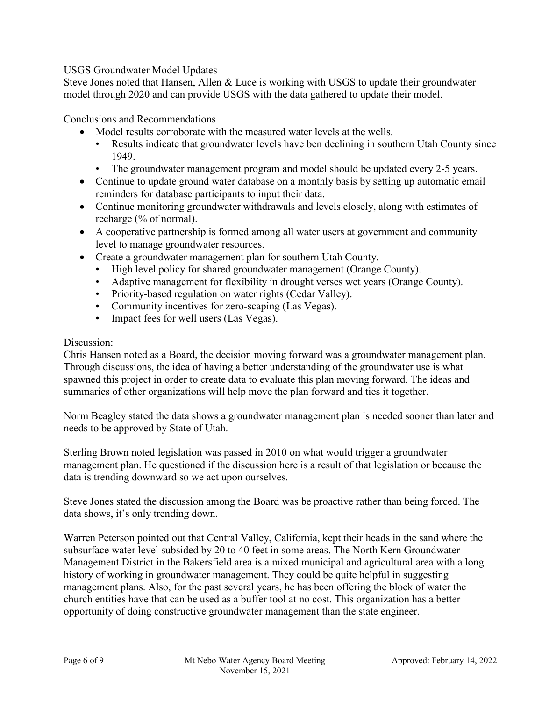# USGS Groundwater Model Updates

Steve Jones noted that Hansen, Allen & Luce is working with USGS to update their groundwater model through 2020 and can provide USGS with the data gathered to update their model.

# Conclusions and Recommendations

- Model results corroborate with the measured water levels at the wells.
	- Results indicate that groundwater levels have ben declining in southern Utah County since 1949.
	- The groundwater management program and model should be updated every 2-5 years.
- Continue to update ground water database on a monthly basis by setting up automatic email reminders for database participants to input their data.
- Continue monitoring groundwater withdrawals and levels closely, along with estimates of recharge (% of normal).
- A cooperative partnership is formed among all water users at government and community level to manage groundwater resources.
- Create a groundwater management plan for southern Utah County.
	- High level policy for shared groundwater management (Orange County).
	- Adaptive management for flexibility in drought verses wet years (Orange County).
	- Priority-based regulation on water rights (Cedar Valley).
	- Community incentives for zero-scaping (Las Vegas).
	- Impact fees for well users (Las Vegas).

# Discussion:

Chris Hansen noted as a Board, the decision moving forward was a groundwater management plan. Through discussions, the idea of having a better understanding of the groundwater use is what spawned this project in order to create data to evaluate this plan moving forward. The ideas and summaries of other organizations will help move the plan forward and ties it together.

Norm Beagley stated the data shows a groundwater management plan is needed sooner than later and needs to be approved by State of Utah.

Sterling Brown noted legislation was passed in 2010 on what would trigger a groundwater management plan. He questioned if the discussion here is a result of that legislation or because the data is trending downward so we act upon ourselves.

Steve Jones stated the discussion among the Board was be proactive rather than being forced. The data shows, it's only trending down.

Warren Peterson pointed out that Central Valley, California, kept their heads in the sand where the subsurface water level subsided by 20 to 40 feet in some areas. The North Kern Groundwater Management District in the Bakersfield area is a mixed municipal and agricultural area with a long history of working in groundwater management. They could be quite helpful in suggesting management plans. Also, for the past several years, he has been offering the block of water the church entities have that can be used as a buffer tool at no cost. This organization has a better opportunity of doing constructive groundwater management than the state engineer.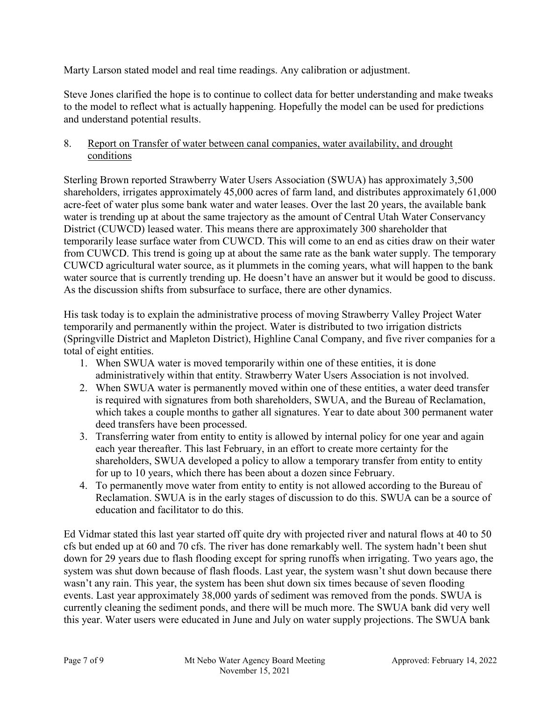Marty Larson stated model and real time readings. Any calibration or adjustment.

Steve Jones clarified the hope is to continue to collect data for better understanding and make tweaks to the model to reflect what is actually happening. Hopefully the model can be used for predictions and understand potential results.

# 8. Report on Transfer of water between canal companies, water availability, and drought conditions

Sterling Brown reported Strawberry Water Users Association (SWUA) has approximately 3,500 shareholders, irrigates approximately 45,000 acres of farm land, and distributes approximately 61,000 acre-feet of water plus some bank water and water leases. Over the last 20 years, the available bank water is trending up at about the same trajectory as the amount of Central Utah Water Conservancy District (CUWCD) leased water. This means there are approximately 300 shareholder that temporarily lease surface water from CUWCD. This will come to an end as cities draw on their water from CUWCD. This trend is going up at about the same rate as the bank water supply. The temporary CUWCD agricultural water source, as it plummets in the coming years, what will happen to the bank water source that is currently trending up. He doesn't have an answer but it would be good to discuss. As the discussion shifts from subsurface to surface, there are other dynamics.

His task today is to explain the administrative process of moving Strawberry Valley Project Water temporarily and permanently within the project. Water is distributed to two irrigation districts (Springville District and Mapleton District), Highline Canal Company, and five river companies for a total of eight entities.

- 1. When SWUA water is moved temporarily within one of these entities, it is done administratively within that entity. Strawberry Water Users Association is not involved.
- 2. When SWUA water is permanently moved within one of these entities, a water deed transfer is required with signatures from both shareholders, SWUA, and the Bureau of Reclamation, which takes a couple months to gather all signatures. Year to date about 300 permanent water deed transfers have been processed.
- 3. Transferring water from entity to entity is allowed by internal policy for one year and again each year thereafter. This last February, in an effort to create more certainty for the shareholders, SWUA developed a policy to allow a temporary transfer from entity to entity for up to 10 years, which there has been about a dozen since February.
- 4. To permanently move water from entity to entity is not allowed according to the Bureau of Reclamation. SWUA is in the early stages of discussion to do this. SWUA can be a source of education and facilitator to do this.

Ed Vidmar stated this last year started off quite dry with projected river and natural flows at 40 to 50 cfs but ended up at 60 and 70 cfs. The river has done remarkably well. The system hadn't been shut down for 29 years due to flash flooding except for spring runoffs when irrigating. Two years ago, the system was shut down because of flash floods. Last year, the system wasn't shut down because there wasn't any rain. This year, the system has been shut down six times because of seven flooding events. Last year approximately 38,000 yards of sediment was removed from the ponds. SWUA is currently cleaning the sediment ponds, and there will be much more. The SWUA bank did very well this year. Water users were educated in June and July on water supply projections. The SWUA bank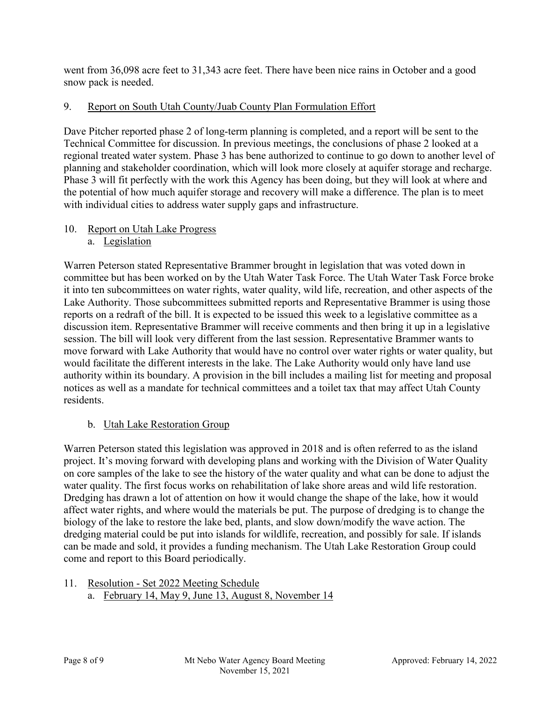went from 36,098 acre feet to 31,343 acre feet. There have been nice rains in October and a good snow pack is needed.

# 9. Report on South Utah County/Juab County Plan Formulation Effort

Dave Pitcher reported phase 2 of long-term planning is completed, and a report will be sent to the Technical Committee for discussion. In previous meetings, the conclusions of phase 2 looked at a regional treated water system. Phase 3 has bene authorized to continue to go down to another level of planning and stakeholder coordination, which will look more closely at aquifer storage and recharge. Phase 3 will fit perfectly with the work this Agency has been doing, but they will look at where and the potential of how much aquifer storage and recovery will make a difference. The plan is to meet with individual cities to address water supply gaps and infrastructure.

- 10. Report on Utah Lake Progress
	- a. Legislation

Warren Peterson stated Representative Brammer brought in legislation that was voted down in committee but has been worked on by the Utah Water Task Force. The Utah Water Task Force broke it into ten subcommittees on water rights, water quality, wild life, recreation, and other aspects of the Lake Authority. Those subcommittees submitted reports and Representative Brammer is using those reports on a redraft of the bill. It is expected to be issued this week to a legislative committee as a discussion item. Representative Brammer will receive comments and then bring it up in a legislative session. The bill will look very different from the last session. Representative Brammer wants to move forward with Lake Authority that would have no control over water rights or water quality, but would facilitate the different interests in the lake. The Lake Authority would only have land use authority within its boundary. A provision in the bill includes a mailing list for meeting and proposal notices as well as a mandate for technical committees and a toilet tax that may affect Utah County residents.

# b. Utah Lake Restoration Group

Warren Peterson stated this legislation was approved in 2018 and is often referred to as the island project. It's moving forward with developing plans and working with the Division of Water Quality on core samples of the lake to see the history of the water quality and what can be done to adjust the water quality. The first focus works on rehabilitation of lake shore areas and wild life restoration. Dredging has drawn a lot of attention on how it would change the shape of the lake, how it would affect water rights, and where would the materials be put. The purpose of dredging is to change the biology of the lake to restore the lake bed, plants, and slow down/modify the wave action. The dredging material could be put into islands for wildlife, recreation, and possibly for sale. If islands can be made and sold, it provides a funding mechanism. The Utah Lake Restoration Group could come and report to this Board periodically.

- 11. Resolution Set 2022 Meeting Schedule
	- a. February 14, May 9, June 13, August 8, November 14